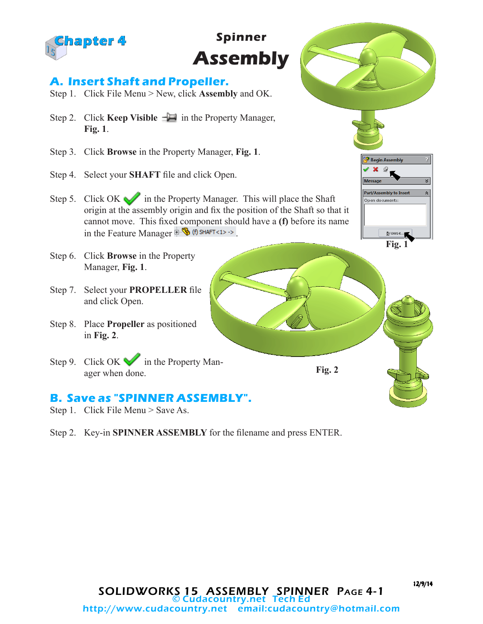

## **Spinner Assembly**

## **A. Insert Shaft and Propeller.**

- Step 1. Click File Menu > New, click **Assembly** and OK.
- Step 2. Click **Keep Visible**  $-\Box$  in the Property Manager, **Fig. 1**.
- Step 3. Click **Browse** in the Property Manager, **Fig. 1**.
- Step 4. Select your **SHAFT** file and click Open.
- Step 5. Click OK in the Property Manager. This will place the Shaft origin at the assembly origin and fix the position of the Shaft so that it cannot move. This fixed component should have a **(f)** before its name in the Feature Manager  $\mathbb{R}$  (f) SHAFT<1> ->
- Step 6. Click **Browse** in the Property Manager, **Fig. 1**.
- Step 7. Select your **PROPELLER** file and click Open.
- Step 8. Place **Propeller** as positioned in **Fig. 2**.
- Step 9. Click OK in the Property Manager when done.

## **B. Save as "SPINNER ASSEMBLY".**

- Step 1. Click File Menu > Save As.
- Step 2. Key-in **SPINNER ASSEMBLY** for the filename and press ENTER.

<sup>3</sup> Begin Assembly Part/Assembly to Ins Open documents Browse **Fig. 1**

12/9/14

**Fig. 2**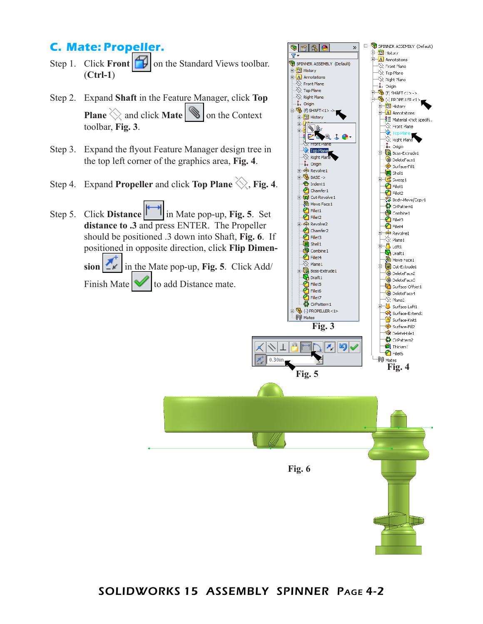## **C. Mate: Propeller.**

- Step 1. Click **Front**  $\Box$  on the Standard Views toolbar. (**Ctrl-1**)
- Step 2. Expand **Shaft** in the Feature Manager, click **Top Plane**  $\Diamond$  and click **Mate**  $\Diamond$  on the Context toolbar, **Fig. 3**.
- Step 3. Expand the flyout Feature Manager design tree in the top left corner of the graphics area, **Fig. 4**.
- Step 4. Expand **Propeller** and click **Top Plane**  $\diamondsuit$ , **Fig. 4**.

Step 5. Click **Distance** in Mate pop-up, **Fig. 5**. Set **distance to .3** and press ENTER. The Propeller should be positioned .3 down into Shaft, **Fig. 6**. If positioned in opposite direction, click **Flip Dimen-**

> $\textbf{sion}$   $\textbf{r}$  in the Mate pop-up, Fig. 5. Click Add/ Finish Mate  $\blacktriangleright$  to add Distance mate.